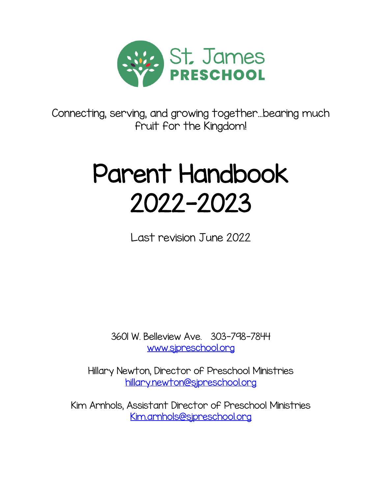

Connecting, serving, and growing together…bearing much fruit for the Kingdom!

# Parent Handbook 2022-2023

Last revision June 2022

3601 W. Belleview Ave. 303-798-7844 [www.sjpreschool.org](http://www.sjpreschool.org/)

Hillary Newton, Director of Preschool Ministries [hillary.newton@sjpreschool.org](mailto:hillary.newton@sjpreschool.org)

Kim Arnhols, Assistant Director of Preschool Ministries [Kim.arnhols@sjpreschool.org](mailto:Kim.arnhols@sjpreschool.org)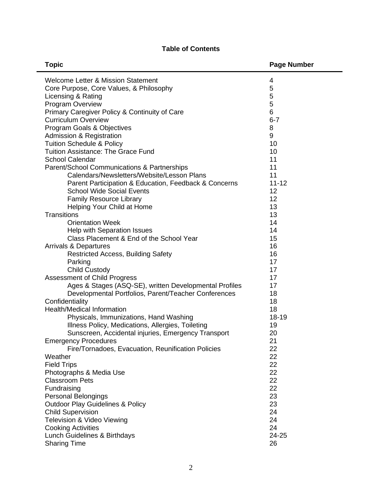# **Table of Contents**

| <b>Topic</b>                                              | <b>Page Number</b> |
|-----------------------------------------------------------|--------------------|
| Welcome Letter & Mission Statement                        | 4                  |
| Core Purpose, Core Values, & Philosophy                   | 5                  |
| Licensing & Rating                                        | 5                  |
| Program Overview                                          | 5                  |
| Primary Caregiver Policy & Continuity of Care             | 6                  |
| <b>Curriculum Overview</b>                                | $6 - 7$            |
| Program Goals & Objectives                                | 8                  |
| Admission & Registration                                  | 9                  |
| <b>Tuition Schedule &amp; Policy</b>                      | 10                 |
| Tuition Assistance: The Grace Fund                        | 10                 |
| <b>School Calendar</b>                                    | 11                 |
| Parent/School Communications & Partnerships               | 11                 |
| Calendars/Newsletters/Website/Lesson Plans                | 11                 |
| Parent Participation & Education, Feedback & Concerns     | $11 - 12$          |
| <b>School Wide Social Events</b>                          | 12                 |
| <b>Family Resource Library</b>                            | 12<br>13           |
| Helping Your Child at Home<br><b>Transitions</b>          | 13                 |
| <b>Orientation Week</b>                                   | 14                 |
| Help with Separation Issues                               | 14                 |
| Class Placement & End of the School Year                  | 15                 |
| <b>Arrivals &amp; Departures</b>                          | 16                 |
| <b>Restricted Access, Building Safety</b>                 | 16                 |
| Parking                                                   | 17                 |
| <b>Child Custody</b>                                      | 17                 |
| <b>Assessment of Child Progress</b>                       | 17                 |
| Ages & Stages (ASQ-SE), written Developmental Profiles    | 17                 |
| Developmental Portfolios, Parent/Teacher Conferences      | 18                 |
| Confidentiality                                           | 18                 |
| <b>Health/Medical Information</b>                         | 18                 |
| Physicals, Immunizations, Hand Washing                    | 18-19              |
| Illness Policy, Medications, Allergies, Toileting         | 19                 |
| Sunscreen, Accidental injuries, Emergency Transport       | 20                 |
| <b>Emergency Procedures</b>                               | 21                 |
| Fire/Tornadoes, Evacuation, Reunification Policies        | 22                 |
| Weather                                                   | 22                 |
| <b>Field Trips</b>                                        | 22                 |
| Photographs & Media Use                                   | 22                 |
| <b>Classroom Pets</b>                                     | 22                 |
| Fundraising                                               | 22                 |
| Personal Belongings                                       | 23                 |
| <b>Outdoor Play Guidelines &amp; Policy</b>               | 23                 |
| <b>Child Supervision</b>                                  | 24<br>24           |
| Television & Video Viewing                                | 24                 |
| <b>Cooking Activities</b><br>Lunch Guidelines & Birthdays | 24-25              |
| <b>Sharing Time</b>                                       | 26                 |
|                                                           |                    |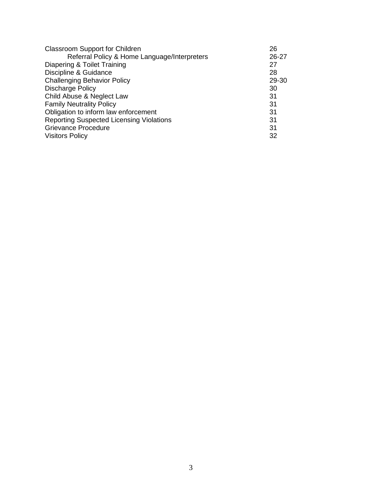| <b>Classroom Support for Children</b>           | 26        |
|-------------------------------------------------|-----------|
| Referral Policy & Home Language/Interpreters    | $26 - 27$ |
| Diapering & Toilet Training                     | 27        |
| Discipline & Guidance                           | 28        |
| <b>Challenging Behavior Policy</b>              | 29-30     |
| Discharge Policy                                | 30        |
| Child Abuse & Neglect Law                       | 31        |
| <b>Family Neutrality Policy</b>                 | 31        |
| Obligation to inform law enforcement            | 31        |
| <b>Reporting Suspected Licensing Violations</b> | 31        |
| Grievance Procedure                             | 31        |
| <b>Visitors Policy</b>                          | 32        |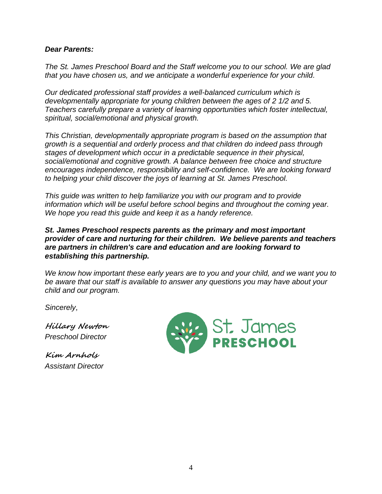## *Dear Parents:*

*The St. James Preschool Board and the Staff welcome you to our school. We are glad that you have chosen us, and we anticipate a wonderful experience for your child.* 

*Our dedicated professional staff provides a well-balanced curriculum which is developmentally appropriate for young children between the ages of 2 1/2 and 5. Teachers carefully prepare a variety of learning opportunities which foster intellectual, spiritual, social/emotional and physical growth.* 

*This Christian, developmentally appropriate program is based on the assumption that growth is a sequential and orderly process and that children do indeed pass through stages of development which occur in a predictable sequence in their physical, social/emotional and cognitive growth. A balance between free choice and structure encourages independence, responsibility and self-confidence. We are looking forward to helping your child discover the joys of learning at St. James Preschool.* 

*This guide was written to help familiarize you with our program and to provide information which will be useful before school begins and throughout the coming year. We hope you read this guide and keep it as a handy reference.* 

## *St. James Preschool respects parents as the primary and most important provider of care and nurturing for their children. We believe parents and teachers are partners in children's care and education and are looking forward to establishing this partnership.*

*We know how important these early years are to you and your child, and we want you to be aware that our staff is available to answer any questions you may have about your child and our program.* 

*Sincerely,*

**Hillary Newton** *Preschool Director* 

**Kim Arnhols** *Assistant Director* 

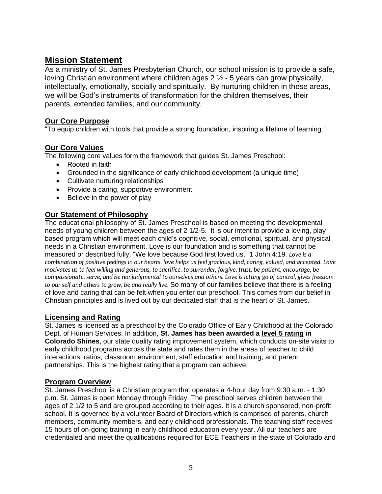# **Mission Statement**

As a ministry of St. James Presbyterian Church, our school mission is to provide a safe, loving Christian environment where children ages 2 ½ - 5 years can grow physically, intellectually, emotionally, socially and spiritually. By nurturing children in these areas, we will be God's instruments of transformation for the children themselves, their parents, extended families, and our community.

## **Our Core Purpose**

To equip children with tools that provide a strong foundation, inspiring a lifetime of learning."

# **Our Core Values**

The following core values form the framework that guides St. James Preschool:

- Rooted in faith
- Grounded in the significance of early childhood development (a unique time)
- Cultivate nurturing relationships
- Provide a caring, supportive environment
- Believe in the power of play

# **Our Statement of Philosophy**

The educational philosophy of St. James Preschool is based on meeting the developmental needs of young children between the ages of 2 1/2-5. It is our intent to provide a loving, play based program which will meet each child's cognitive, social, emotional, spiritual, and physical needs in a Christian environment. Love is our foundation and is something that cannot be measured or described fully. "We love because God first loved us." 1 John 4:19. *Love is a combination of positive feelings in our hearts, love helps us feel gracious, kind, caring, valued, and accepted. Love motivates us to feel willing and generous, to sacrifice, to surrender, forgive, trust, be patient, encourage, be compassionate, serve, and be nonjudgmental to ourselves and others. Love is letting go of control, gives freedom to our self and others to grow, be and really live.* So many of our families believe that there is a feeling of love and caring that can be felt when you enter our preschool. This comes from our belief in Christian principles and is lived out by our dedicated staff that is the heart of St. James.

## **Licensing and Rating**

St. James is licensed as a preschool by the Colorado Office of Early Childhood at the Colorado Dept. of Human Services. In addition, **St. James has been awarded a level 5 rating in Colorado Shines**, our state quality rating improvement system, which conducts on-site visits to early childhood programs across the state and rates them in the areas of teacher to child interactions, ratios, classroom environment, staff education and training, and parent partnerships. This is the highest rating that a program can achieve.

## **Program Overview**

St. James Preschool is a Christian program that operates a 4-hour day from 9:30 a.m. - 1:30 p.m. St. James is open Monday through Friday. The preschool serves children between the ages of 2 1/2 to 5 and are grouped according to their ages. It is a church sponsored, non-profit school. It is governed by a volunteer Board of Directors which is comprised of parents, church members, community members, and early childhood professionals. The teaching staff receives 15 hours of on-going training in early childhood education every year. All our teachers are credentialed and meet the qualifications required for ECE Teachers in the state of Colorado and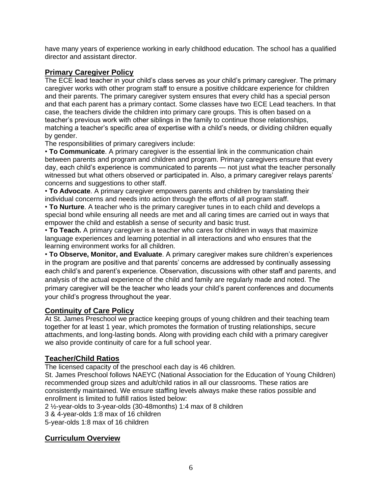have many years of experience working in early childhood education. The school has a qualified director and assistant director.

## **Primary Caregiver Policy**

The ECE lead teacher in your child's class serves as your child's primary caregiver. The primary caregiver works with other program staff to ensure a positive childcare experience for children and their parents. The primary caregiver system ensures that every child has a special person and that each parent has a primary contact. Some classes have two ECE Lead teachers. In that case, the teachers divide the children into primary care groups. This is often based on a teacher's previous work with other siblings in the family to continue those relationships, matching a teacher's specific area of expertise with a child's needs, or dividing children equally by gender.

The responsibilities of primary caregivers include:

• **To Communicate**. A primary caregiver is the essential link in the communication chain between parents and program and children and program. Primary caregivers ensure that every day, each child's experience is communicated to parents — not just what the teacher personally witnessed but what others observed or participated in. Also, a primary caregiver relays parents' concerns and suggestions to other staff.

• **To Advocate**. A primary caregiver empowers parents and children by translating their individual concerns and needs into action through the efforts of all program staff.

• **To Nurture**. A teacher who is the primary caregiver tunes in to each child and develops a special bond while ensuring all needs are met and all caring times are carried out in ways that empower the child and establish a sense of security and basic trust.

• **To Teach.** A primary caregiver is a teacher who cares for children in ways that maximize language experiences and learning potential in all interactions and who ensures that the learning environment works for all children.

• **To Observe, Monitor, and Evaluate**. A primary caregiver makes sure children's experiences in the program are positive and that parents' concerns are addressed by continually assessing each child's and parent's experience. Observation, discussions with other staff and parents, and analysis of the actual experience of the child and family are regularly made and noted. The primary caregiver will be the teacher who leads your child's parent conferences and documents your child's progress throughout the year.

## **Continuity of Care Policy**

At St. James Preschool we practice keeping groups of young children and their teaching team together for at least 1 year, which promotes the formation of trusting relationships, secure attachments, and long-lasting bonds. Along with providing each child with a primary caregiver we also provide continuity of care for a full school year.

# **Teacher/Child Ratios**

The licensed capacity of the preschool each day is 46 children.

St. James Preschool follows NAEYC (National Association for the Education of Young Children) recommended group sizes and adult/child ratios in all our classrooms. These ratios are consistently maintained. We ensure staffing levels always make these ratios possible and enrollment is limited to fulfill ratios listed below:

2 ½-year-olds to 3-year-olds (30-48months) 1:4 max of 8 children

3 & 4-year-olds 1:8 max of 16 children

5-year-olds 1:8 max of 16 children

## **Curriculum Overview**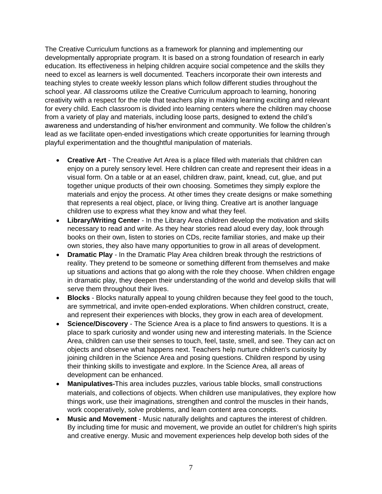The Creative Curriculum functions as a framework for planning and implementing our developmentally appropriate program. It is based on a strong foundation of research in early education. Its effectiveness in helping children acquire social competence and the skills they need to excel as learners is well documented. Teachers incorporate their own interests and teaching styles to create weekly lesson plans which follow different studies throughout the school year. All classrooms utilize the Creative Curriculum approach to learning, honoring creativity with a respect for the role that teachers play in making learning exciting and relevant for every child. Each classroom is divided into learning centers where the children may choose from a variety of play and materials, including loose parts, designed to extend the child's awareness and understanding of his/her environment and community. We follow the children's lead as we facilitate open-ended investigations which create opportunities for learning through playful experimentation and the thoughtful manipulation of materials.

- **Creative Art**  The Creative Art Area is a place filled with materials that children can enjoy on a purely sensory level. Here children can create and represent their ideas in a visual form. On a table or at an easel, children draw, paint, knead, cut, glue, and put together unique products of their own choosing. Sometimes they simply explore the materials and enjoy the process. At other times they create designs or make something that represents a real object, place, or living thing. Creative art is another language children use to express what they know and what they feel.
- **Library/Writing Center**  In the Library Area children develop the motivation and skills necessary to read and write. As they hear stories read aloud every day, look through books on their own, listen to stories on CDs, recite familiar stories, and make up their own stories, they also have many opportunities to grow in all areas of development.
- **Dramatic Play**  In the Dramatic Play Area children break through the restrictions of reality. They pretend to be someone or something different from themselves and make up situations and actions that go along with the role they choose. When children engage in dramatic play, they deepen their understanding of the world and develop skills that will serve them throughout their lives.
- **Blocks**  Blocks naturally appeal to young children because they feel good to the touch, are symmetrical, and invite open-ended explorations. When children construct, create, and represent their experiences with blocks, they grow in each area of development.
- **Science/Discovery**  The Science Area is a place to find answers to questions. It is a place to spark curiosity and wonder using new and interesting materials. In the Science Area, children can use their senses to touch, feel, taste, smell, and see. They can act on objects and observe what happens next. Teachers help nurture children's curiosity by joining children in the Science Area and posing questions. Children respond by using their thinking skills to investigate and explore. In the Science Area, all areas of development can be enhanced.
- **Manipulatives-**This area includes puzzles, various table blocks, small constructions materials, and collections of objects. When children use manipulatives, they explore how things work, use their imaginations, strengthen and control the muscles in their hands, work cooperatively, solve problems, and learn content area concepts.
- **Music and Movement**  Music naturally delights and captures the interest of children. By including time for music and movement, we provide an outlet for children's high spirits and creative energy. Music and movement experiences help develop both sides of the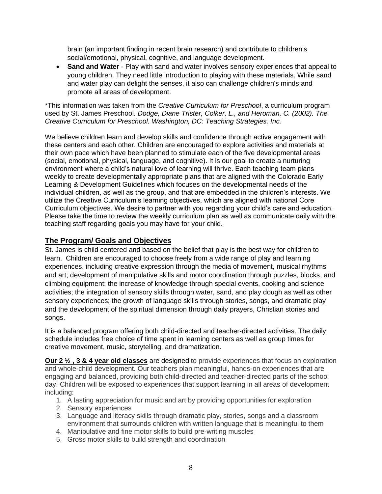brain (an important finding in recent brain research) and contribute to children's social/emotional, physical, cognitive, and language development.

• **Sand and Water** - Play with sand and water involves sensory experiences that appeal to young children. They need little introduction to playing with these materials. While sand and water play can delight the senses, it also can challenge children's minds and promote all areas of development.

\*This information was taken from the *Creative Curriculum for Preschool*, a curriculum program used by St. James Preschool. *Dodge, Diane Trister, Colker, L., and Heroman, C. (2002). The Creative Curriculum for Preschool. Washington, DC: Teaching Strategies, Inc.*

We believe children learn and develop skills and confidence through active engagement with these centers and each other. Children are encouraged to explore activities and materials at their own pace which have been planned to stimulate each of the five developmental areas (social, emotional, physical, language, and cognitive). It is our goal to create a nurturing environment where a child's natural love of learning will thrive. Each teaching team plans weekly to create developmentally appropriate plans that are aligned with the Colorado Early Learning & Development Guidelines which focuses on the developmental needs of the individual children, as well as the group, and that are embedded in the children's interests. We utilize the Creative Curriculum's learning objectives, which are aligned with national Core Curriculum objectives. We desire to partner with you regarding your child's care and education. Please take the time to review the weekly curriculum plan as well as communicate daily with the teaching staff regarding goals you may have for your child.

# **The Program/ Goals and Objectives**

St. James is child centered and based on the belief that play is the best way for children to learn. Children are encouraged to choose freely from a wide range of play and learning experiences, including creative expression through the media of movement, musical rhythms and art; development of manipulative skills and motor coordination through puzzles, blocks, and climbing equipment; the increase of knowledge through special events, cooking and science activities; the integration of sensory skills through water, sand, and play dough as well as other sensory experiences; the growth of language skills through stories, songs, and dramatic play and the development of the spiritual dimension through daily prayers, Christian stories and songs.

It is a balanced program offering both child-directed and teacher-directed activities. The daily schedule includes free choice of time spent in learning centers as well as group times for creative movement, music, storytelling, and dramatization.

**Our 2 ½ , 3 & 4 year old classes** are designed to provide experiences that focus on exploration and whole-child development. Our teachers plan meaningful, hands-on experiences that are engaging and balanced, providing both child-directed and teacher-directed parts of the school day. Children will be exposed to experiences that support learning in all areas of development including:

- 1. A lasting appreciation for music and art by providing opportunities for exploration
- 2. Sensory experiences
- 3. Language and literacy skills through dramatic play, stories, songs and a classroom environment that surrounds children with written language that is meaningful to them
- 4. Manipulative and fine motor skills to build pre-writing muscles
- 5. Gross motor skills to build strength and coordination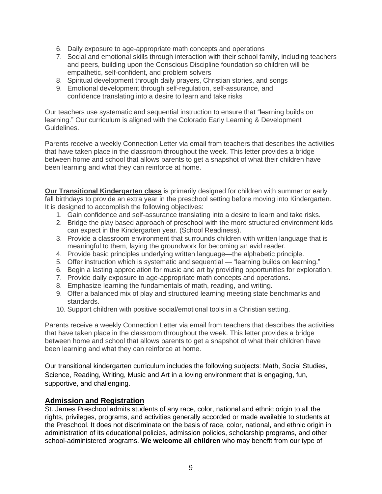- 6. Daily exposure to age-appropriate math concepts and operations
- 7. Social and emotional skills through interaction with their school family, including teachers and peers, building upon the Conscious Discipline foundation so children will be empathetic, self-confident, and problem solvers
- 8. Spiritual development through daily prayers, Christian stories, and songs
- 9. Emotional development through self-regulation, self-assurance, and confidence translating into a desire to learn and take risks

Our teachers use systematic and sequential instruction to ensure that "learning builds on learning." Our curriculum is aligned with the Colorado Early Learning & Development Guidelines.

Parents receive a weekly Connection Letter via email from teachers that describes the activities that have taken place in the classroom throughout the week. This letter provides a bridge between home and school that allows parents to get a snapshot of what their children have been learning and what they can reinforce at home.

**Our Transitional Kindergarten class** is primarily designed for children with summer or early fall birthdays to provide an extra year in the preschool setting before moving into Kindergarten. It is designed to accomplish the following objectives:

- 1. Gain confidence and self-assurance translating into a desire to learn and take risks.
- 2. Bridge the play based approach of preschool with the more structured environment kids can expect in the Kindergarten year. (School Readiness).
- 3. Provide a classroom environment that surrounds children with written language that is meaningful to them, laying the groundwork for becoming an avid reader.
- 4. Provide basic principles underlying written language—the alphabetic principle.
- 5. Offer instruction which is systematic and sequential "learning builds on learning."
- 6. Begin a lasting appreciation for music and art by providing opportunities for exploration.
- 7. Provide daily exposure to age-appropriate math concepts and operations.
- 8. Emphasize learning the fundamentals of math, reading, and writing.
- 9. Offer a balanced mix of play and structured learning meeting state benchmarks and standards.
- 10. Support children with positive social/emotional tools in a Christian setting.

Parents receive a weekly Connection Letter via email from teachers that describes the activities that have taken place in the classroom throughout the week. This letter provides a bridge between home and school that allows parents to get a snapshot of what their children have been learning and what they can reinforce at home.

Our transitional kindergarten curriculum includes the following subjects: Math, Social Studies, Science, Reading, Writing, Music and Art in a loving environment that is engaging, fun, supportive, and challenging.

#### **Admission and Registration**

St. James Preschool admits students of any race, color, national and ethnic origin to all the rights, privileges, programs, and activities generally accorded or made available to students at the Preschool. It does not discriminate on the basis of race, color, national, and ethnic origin in administration of its educational policies, admission policies, scholarship programs, and other school-administered programs. **We welcome all children** who may benefit from our type of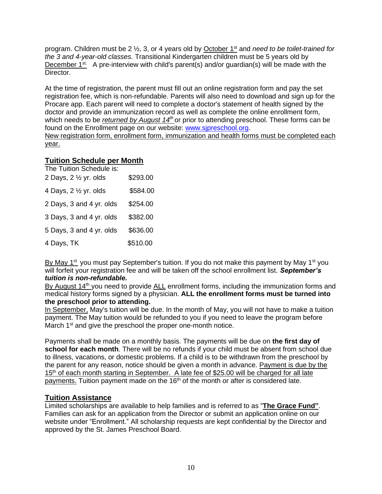program. Children must be 2 ½, 3, or 4 years old by October 1st and *need to be toilet-trained for the 3 and 4-year-old classes.* Transitional Kindergarten children must be 5 years old by December  $1^{st}$ . A pre-interview with child's parent(s) and/or guardian(s) will be made with the Director.

At the time of registration, the parent must fill out an online registration form and pay the set registration fee, which is non-refundable. Parents will also need to download and sign up for the Procare app. Each parent will need to complete a doctor's statement of health signed by the doctor and provide an immunization record as well as complete the online enrollment form, which needs to be *returned by August 14th* or prior to attending preschool. These forms can be found on the Enrollment page on our website: [www.sjpreschool.org.](http://www.sjpreschool.org/) New registration form, enrollment form, immunization and health forms must be completed each year.

# **Tuition Schedule per Month**

| The Tuition Schedule is:<br>2 Days, 2 1/2 yr. olds | \$293.00 |
|----------------------------------------------------|----------|
|                                                    |          |
| 4 Days, 2 1/2 yr. olds                             | \$584.00 |
| 2 Days, 3 and 4 yr. olds                           | \$254.00 |
| 3 Days, 3 and 4 yr. olds                           | \$382.00 |
| 5 Days, 3 and 4 yr. olds                           | \$636.00 |
| 4 Days, TK                                         | \$510.00 |

By May  $1^{st}$  you must pay September's tuition. If you do not make this payment by May  $1^{st}$  you will forfeit your registration fee and will be taken off the school enrollment list. *September's tuition is non-refundable.*

By August 14<sup>th</sup> you need to provide ALL enrollment forms, including the immunization forms and medical history forms signed by a physician. **ALL the enrollment forms must be turned into the preschool prior to attending.**

In September, May's tuition will be due. In the month of May, you will not have to make a tuition payment. The May tuition would be refunded to you if you need to leave the program before March 1<sup>st</sup> and give the preschool the proper one-month notice.

Payments shall be made on a monthly basis. The payments will be due on **the first day of school for each month**. There will be no refunds if your child must be absent from school due to illness, vacations, or domestic problems. If a child is to be withdrawn from the preschool by the parent for any reason, notice should be given a month in advance. Payment is due by the 15<sup>th</sup> of each month starting in September. A late fee of \$25.00 will be charged for all late payments. Tuition payment made on the 16<sup>th</sup> of the month or after is considered late.

# **Tuition Assistance**

Limited scholarships are available to help families and is referred to as "**The Grace Fund"**. Families can ask for an application from the Director or submit an application online on our website under "Enrollment." All scholarship requests are kept confidential by the Director and approved by the St. James Preschool Board.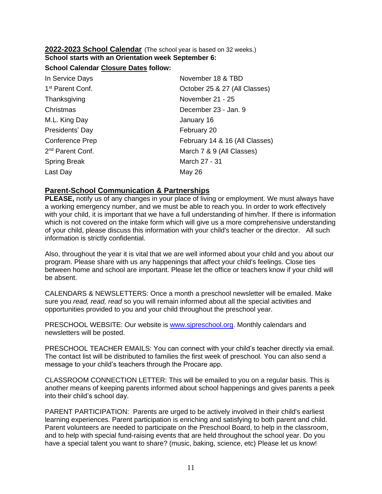#### **2022-2023 School Calendar** (The school year is based on 32 weeks.) **School starts with an Orientation week September 6:**

### **School Calendar Closure Dates follow:**

| In Service Days              | November 18 & TBD              |
|------------------------------|--------------------------------|
| 1 <sup>st</sup> Parent Conf. | October 25 & 27 (All Classes)  |
| Thanksgiving                 | November 21 - 25               |
| Christmas                    | December 23 - Jan. 9           |
| M.L. King Day                | January 16                     |
| Presidents' Day              | February 20                    |
| <b>Conference Prep</b>       | February 14 & 16 (All Classes) |
| 2 <sup>nd</sup> Parent Conf. | March 7 & 9 (All Classes)      |
| <b>Spring Break</b>          | March 27 - 31                  |
| Last Day                     | May 26                         |
|                              |                                |

### **Parent-School Communication & Partnerships**

**PLEASE,** notify us of any changes in your place of living or employment. We must always have a working emergency number, and we must be able to reach you. In order to work effectively with your child, it is important that we have a full understanding of him/her. If there is information which is not covered on the intake form which will give us a more comprehensive understanding of your child, please discuss this information with your child's teacher or the director. All such information is strictly confidential.

Also, throughout the year it is vital that we are well informed about your child and you about our program. Please share with us any happenings that affect your child's feelings. Close ties between home and school are important. Please let the office or teachers know if your child will be absent.

CALENDARS & NEWSLETTERS: Once a month a preschool newsletter will be emailed. Make sure you *read, read, read* so you will remain informed about all the special activities and opportunities provided to you and your child throughout the preschool year.

PRESCHOOL WEBSITE: Our website is [www.sjpreschool.org.](http://www.sjpreschool.org/) Monthly calendars and newsletters will be posted.

PRESCHOOL TEACHER EMAILS: You can connect with your child's teacher directly via email. The contact list will be distributed to families the first week of preschool. You can also send a message to your child's teachers through the Procare app.

CLASSROOM CONNECTION LETTER: This will be emailed to you on a regular basis. This is another means of keeping parents informed about school happenings and gives parents a peek into their child's school day.

PARENT PARTICIPATION: Parents are urged to be actively involved in their child's earliest learning experiences. Parent participation is enriching and satisfying to both parent and child. Parent volunteers are needed to participate on the Preschool Board, to help in the classroom, and to help with special fund-raising events that are held throughout the school year. Do you have a special talent you want to share? (music, baking, science, etc) Please let us know!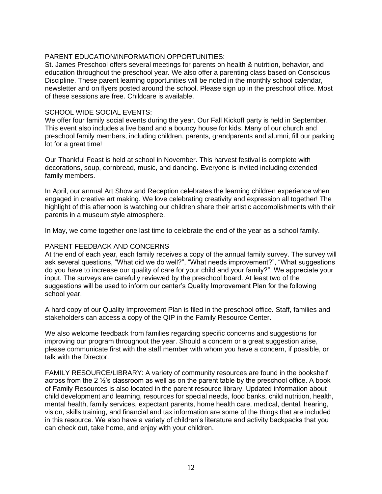#### PARENT EDUCATION/INFORMATION OPPORTUNITIES:

St. James Preschool offers several meetings for parents on health & nutrition, behavior, and education throughout the preschool year. We also offer a parenting class based on Conscious Discipline. These parent learning opportunities will be noted in the monthly school calendar. newsletter and on flyers posted around the school. Please sign up in the preschool office. Most of these sessions are free. Childcare is available.

#### SCHOOL WIDE SOCIAL EVENTS:

We offer four family social events during the year. Our Fall Kickoff party is held in September. This event also includes a live band and a bouncy house for kids. Many of our church and preschool family members, including children, parents, grandparents and alumni, fill our parking lot for a great time!

Our Thankful Feast is held at school in November. This harvest festival is complete with decorations, soup, cornbread, music, and dancing. Everyone is invited including extended family members.

In April, our annual Art Show and Reception celebrates the learning children experience when engaged in creative art making. We love celebrating creativity and expression all together! The highlight of this afternoon is watching our children share their artistic accomplishments with their parents in a museum style atmosphere.

In May, we come together one last time to celebrate the end of the year as a school family.

#### PARENT FEEDBACK AND CONCERNS

At the end of each year, each family receives a copy of the annual family survey. The survey will ask several questions, "What did we do well?", "What needs improvement?", "What suggestions do you have to increase our quality of care for your child and your family?". We appreciate your input. The surveys are carefully reviewed by the preschool board. At least two of the suggestions will be used to inform our center's Quality Improvement Plan for the following school year.

A hard copy of our Quality Improvement Plan is filed in the preschool office. Staff, families and stakeholders can access a copy of the QIP in the Family Resource Center.

We also welcome feedback from families regarding specific concerns and suggestions for improving our program throughout the year. Should a concern or a great suggestion arise, please communicate first with the staff member with whom you have a concern, if possible, or talk with the Director.

FAMILY RESOURCE/LIBRARY: A variety of community resources are found in the bookshelf across from the 2 ½'s classroom as well as on the parent table by the preschool office. A book of Family Resources is also located in the parent resource library. Updated information about child development and learning, resources for special needs, food banks, child nutrition, health, mental health, family services, expectant parents, home health care, medical, dental, hearing, vision, skills training, and financial and tax information are some of the things that are included in this resource. We also have a variety of children's literature and activity backpacks that you can check out, take home, and enjoy with your children.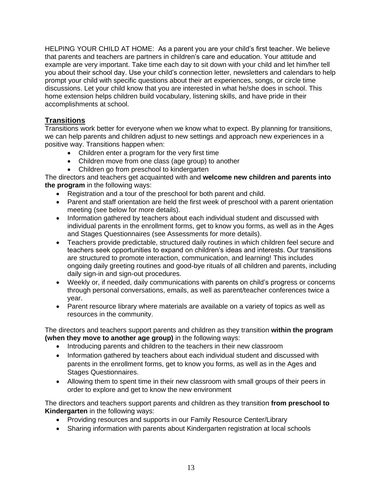HELPING YOUR CHILD AT HOME: As a parent you are your child's first teacher. We believe that parents and teachers are partners in children's care and education. Your attitude and example are very important. Take time each day to sit down with your child and let him/her tell you about their school day. Use your child's connection letter, newsletters and calendars to help prompt your child with specific questions about their art experiences, songs, or circle time discussions. Let your child know that you are interested in what he/she does in school. This home extension helps children build vocabulary, listening skills, and have pride in their accomplishments at school.

# **Transitions**

Transitions work better for everyone when we know what to expect. By planning for transitions, we can help parents and children adjust to new settings and approach new experiences in a positive way. Transitions happen when:

- Children enter a program for the very first time
- Children move from one class (age group) to another
- Children go from preschool to kindergarten

The directors and teachers get acquainted with and **welcome new children and parents into the program** in the following ways:

- Registration and a tour of the preschool for both parent and child.
- Parent and staff orientation are held the first week of preschool with a parent orientation meeting (see below for more details).
- Information gathered by teachers about each individual student and discussed with individual parents in the enrollment forms, get to know you forms, as well as in the Ages and Stages Questionnaires (see Assessments for more details).
- Teachers provide predictable, structured daily routines in which children feel secure and teachers seek opportunities to expand on children's ideas and interests. Our transitions are structured to promote interaction, communication, and learning! This includes ongoing daily greeting routines and good-bye rituals of all children and parents, including daily sign-in and sign-out procedures.
- Weekly or, if needed, daily communications with parents on child's progress or concerns through personal conversations, emails, as well as parent/teacher conferences twice a year.
- Parent resource library where materials are available on a variety of topics as well as resources in the community.

The directors and teachers support parents and children as they transition **within the program (when they move to another age group)** in the following ways:

- Introducing parents and children to the teachers in their new classroom
- Information gathered by teachers about each individual student and discussed with parents in the enrollment forms, get to know you forms, as well as in the Ages and Stages Questionnaires.
- Allowing them to spent time in their new classroom with small groups of their peers in order to explore and get to know the new environment

The directors and teachers support parents and children as they transition **from preschool to Kindergarten** in the following ways:

- Providing resources and supports in our Family Resource Center/Library
- Sharing information with parents about Kindergarten registration at local schools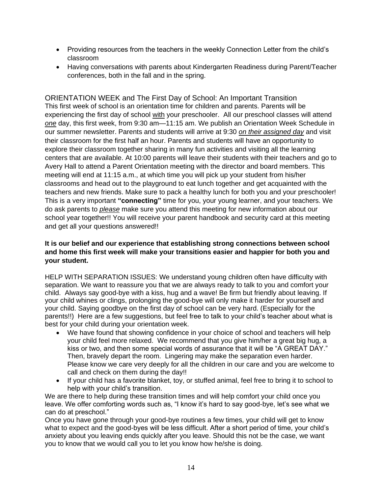- Providing resources from the teachers in the weekly Connection Letter from the child's classroom
- Having conversations with parents about Kindergarten Readiness during Parent/Teacher conferences, both in the fall and in the spring.

ORIENTATION WEEK and The First Day of School: An Important Transition This first week of school is an orientation time for children and parents. Parents will be experiencing the first day of school with your preschooler. All our preschool classes will attend *one* day, this first week, from 9:30 am—11:15 am. We publish an Orientation Week Schedule in our summer newsletter. Parents and students will arrive at 9:30 *on their assigned day* and visit their classroom for the first half an hour. Parents and students will have an opportunity to explore their classroom together sharing in many fun activities and visiting all the learning centers that are available. At 10:00 parents will leave their students with their teachers and go to Avery Hall to attend a Parent Orientation meeting with the director and board members. This meeting will end at 11:15 a.m., at which time you will pick up your student from his/her classrooms and head out to the playground to eat lunch together and get acquainted with the teachers and new friends. Make sure to pack a healthy lunch for both you and your preschooler! This is a very important **"connecting"** time for you, your young learner, and your teachers. We do ask parents to *please* make sure you attend this meeting for new information about our school year together!! You will receive your parent handbook and security card at this meeting and get all your questions answered!!

## **It is our belief and our experience that establishing strong connections between school and home this first week will make your transitions easier and happier for both you and your student.**

HELP WITH SEPARATION ISSUES: We understand young children often have difficulty with separation. We want to reassure you that we are always ready to talk to you and comfort your child. Always say good-bye with a kiss, hug and a wave! Be firm but friendly about leaving. If your child whines or clings, prolonging the good-bye will only make it harder for yourself and your child. Saying goodbye on the first day of school can be very hard. (Especially for the parents!!) Here are a few suggestions, but feel free to talk to your child's teacher about what is best for your child during your orientation week.

- We have found that showing confidence in your choice of school and teachers will help your child feel more relaxed. We recommend that you give him/her a great big hug, a kiss or two, and then some special words of assurance that it will be "A GREAT DAY." Then, bravely depart the room. Lingering may make the separation even harder. Please know we care very deeply for all the children in our care and you are welcome to call and check on them during the day!!
- If your child has a favorite blanket, toy, or stuffed animal, feel free to bring it to school to help with your child's transition.

We are there to help during these transition times and will help comfort your child once you leave. We offer comforting words such as, "I know it's hard to say good-bye, let's see what we can do at preschool."

Once you have gone through your good-bye routines a few times, your child will get to know what to expect and the good-byes will be less difficult. After a short period of time, your child's anxiety about you leaving ends quickly after you leave. Should this not be the case, we want you to know that we would call you to let you know how he/she is doing.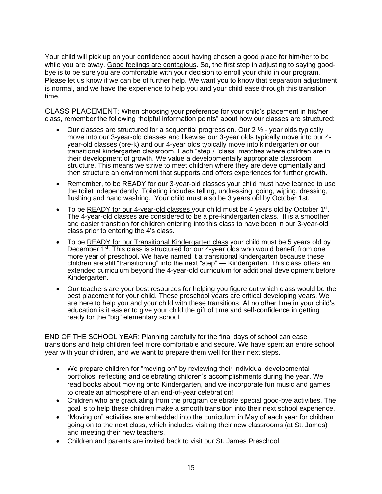Your child will pick up on your confidence about having chosen a good place for him/her to be while you are away. Good feelings are contagious. So, the first step in adjusting to saying goodbye is to be sure you are comfortable with your decision to enroll your child in our program. Please let us know if we can be of further help. We want you to know that separation adjustment is normal, and we have the experience to help you and your child ease through this transition time.

CLASS PLACEMENT: When choosing your preference for your child's placement in his/her class, remember the following "helpful information points" about how our classes are structured:

- Our classes are structured for a sequential progression. Our  $2 \frac{1}{2}$  year olds typically move into our 3-year-old classes and likewise our 3-year olds typically move into our 4 year-old classes (pre-k) and our 4-year olds typically move into kindergarten **or** our transitional kindergarten classroom. Each "step"/ "class" matches where children are in their development of growth. We value a developmentally appropriate classroom structure. This means we strive to meet children where they are developmentally and then structure an environment that supports and offers experiences for further growth.
- Remember, to be READY for our 3-year-old classes your child must have learned to use the toilet independently. Toileting includes telling, undressing, going, wiping, dressing, flushing and hand washing. Your child must also be 3 years old by October 1st.
- To be READY for our 4-year-old classes your child must be 4 years old by October 1<sup>st</sup>. The 4-year-old classes are considered to be a pre-kindergarten class. It is a smoother and easier transition for children entering into this class to have been in our 3-year-old class prior to entering the 4's class.
- To be READY for our Transitional Kindergarten class your child must be 5 years old by December 1<sup>st</sup>. This class is structured for our 4-year olds who would benefit from one more year of preschool. We have named it a transitional kindergarten because these children are still "transitioning" into the next "step" — Kindergarten. This class offers an extended curriculum beyond the 4-year-old curriculum for additional development before Kindergarten.
- Our teachers are your best resources for helping you figure out which class would be the best placement for your child. These preschool years are critical developing years. We are here to help you and your child with these transitions. At no other time in your child's education is it easier to give your child the gift of time and self-confidence in getting ready for the "big" elementary school.

END OF THE SCHOOL YEAR: Planning carefully for the final days of school can ease transitions and help children feel more comfortable and secure. We have spent an entire school year with your children, and we want to prepare them well for their next steps.

- We prepare children for "moving on" by reviewing their individual developmental portfolios, reflecting and celebrating children's accomplishments during the year. We read books about moving onto Kindergarten, and we incorporate fun music and games to create an atmosphere of an end-of-year celebration!
- Children who are graduating from the program celebrate special good-bye activities. The goal is to help these children make a smooth transition into their next school experience.
- "Moving on" activities are embedded into the curriculum in May of each year for children going on to the next class, which includes visiting their new classrooms (at St. James) and meeting their new teachers.
- Children and parents are invited back to visit our St. James Preschool.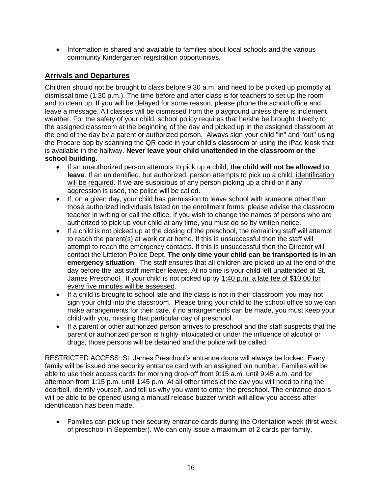• Information is shared and available to families about local schools and the various community Kindergarten registration opportunities.

# **Arrivals and Departures**

Children should not be brought to class before 9:30 a.m. and need to be picked up promptly at dismissal time (1:30 p.m.). The time before and after class is for teachers to set up the room and to clean up. If you will be delayed for some reason, please phone the school office and leave a message. All classes will be dismissed from the playground unless there is inclement weather. For the safety of your child, school policy requires that he/she be brought directly to the assigned classroom at the beginning of the day and picked up in the assigned classroom at the end of the day by a parent or authorized person. Always sign your child "in" and "out" using the Procare app by scanning the QR code in your child's classroom or using the iPad kiosk that is available in the hallway. **Never leave your child unattended in the classroom or the school building.** 

- If an unauthorized person attempts to pick up a child, **the child will not be allowed to**  leave. If an unidentified, but authorized, person attempts to pick up a child, identification will be required. If we are suspicious of any person picking up a child or if any aggression is used, the police will be called.
- If, on a given day, your child has permission to leave school with someone other than those authorized individuals listed on the enrollment forms, please advise the classroom teacher in writing or call the office. If you wish to change the names of persons who are authorized to pick up your child at any time, you must do so by written notice.
- If a child is not picked up at the closing of the preschool, the remaining staff will attempt to reach the parent(s) at work or at home. If this is unsuccessful then the staff will attempt to reach the emergency contacts. If this is unsuccessful then the Director will contact the Littleton Police Dept. **The only time your child can be transported is in an emergency situation**. The staff ensures that all children are picked up at the end of the day before the last staff member leaves. At no time is your child left unattended at St. James Preschool. If your child is not picked up by 1:40 p.m. a late fee of \$10.00 for every five minutes will be assessed.
- If a child is brought to school late and the class is not in their classroom you may not sign your child into the classroom. Please bring your child to the school office so we can make arrangements for their care, if no arrangements can be made, you must keep your child with you, missing that particular day of preschool.
- If a parent or other authorized person arrives to preschool and the staff suspects that the parent or authorized person is highly intoxicated or under the influence of alcohol or drugs, those persons will be detained and the police will be called.

RESTRICTED ACCESS: St. James Preschool's entrance doors will always be locked. Every family will be issued one security entrance card with an assigned pin number. Families will be able to use their access cards for morning drop-off from 9:15 a.m. until 9:45 a.m. and for afternoon from 1:15 p.m. until 1:45 p.m. At all other times of the day you will need to ring the doorbell, identify yourself, and tell us why you want to enter the preschool. The entrance doors will be able to be opened using a manual release buzzer which will allow you access after identification has been made.

• Families can pick up their security entrance cards during the Orientation week (first week of preschool in September). We can only issue a maximum of 2 cards per family.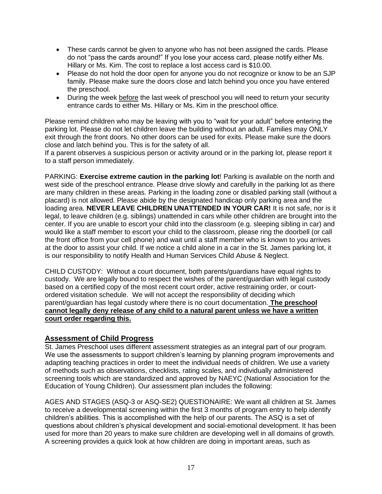- These cards cannot be given to anyone who has not been assigned the cards. Please do not "pass the cards around!" If you lose your access card, please notify either Ms. Hillary or Ms. Kim. The cost to replace a lost access card is \$10.00.
- Please do not hold the door open for anyone you do not recognize or know to be an SJP family. Please make sure the doors close and latch behind you once you have entered the preschool.
- During the week before the last week of preschool you will need to return your security entrance cards to either Ms. Hillary or Ms. Kim in the preschool office.

Please remind children who may be leaving with you to "wait for your adult" before entering the parking lot. Please do not let children leave the building without an adult. Families may ONLY exit through the front doors. No other doors can be used for exits. Please make sure the doors close and latch behind you. This is for the safety of all.

If a parent observes a suspicious person or activity around or in the parking lot, please report it to a staff person immediately.

PARKING: **Exercise extreme caution in the parking lot**! Parking is available on the north and west side of the preschool entrance. Please drive slowly and carefully in the parking lot as there are many children in these areas. Parking in the loading zone or disabled parking stall (without a placard) is not allowed. Please abide by the designated handicap only parking area and the loading area. **NEVER LEAVE CHILDREN UNATTENDED IN YOUR CAR!** It is not safe, nor is it legal, to leave children (e.g. siblings) unattended in cars while other children are brought into the center. If you are unable to escort your child into the classroom (e.g. sleeping sibling in car) and would like a staff member to escort your child to the classroom, please ring the doorbell (or call the front office from your cell phone) and wait until a staff member who is known to you arrives at the door to assist your child. If we notice a child alone in a car in the St. James parking lot, it is our responsibility to notify Health and Human Services Child Abuse & Neglect.

CHILD CUSTODY: Without a court document, both parents/guardians have equal rights to custody. We are legally bound to respect the wishes of the parent/guardian with legal custody based on a certified copy of the most recent court order, active restraining order, or courtordered visitation schedule. We will not accept the responsibility of deciding which parent/guardian has legal custody where there is no court documentation. **The preschool cannot legally deny release of any child to a natural parent unless we have a written court order regarding this.**

## **Assessment of Child Progress**

St. James Preschool uses different assessment strategies as an integral part of our program. We use the assessments to support children's learning by planning program improvements and adapting teaching practices in order to meet the individual needs of children. We use a variety of methods such as observations, checklists, rating scales, and individually administered screening tools which are standardized and approved by NAEYC (National Association for the Education of Young Children). Our assessment plan includes the following:

AGES AND STAGES (ASQ-3 or ASQ-SE2) QUESTIONAIRE: We want all children at St. James to receive a developmental screening within the first 3 months of program entry to help identify children's abilities. This is accomplished with the help of our parents. The ASQ is a set of questions about children's physical development and social-emotional development. It has been used for more than 20 years to make sure children are developing well in all domains of growth. A screening provides a quick look at how children are doing in important areas, such as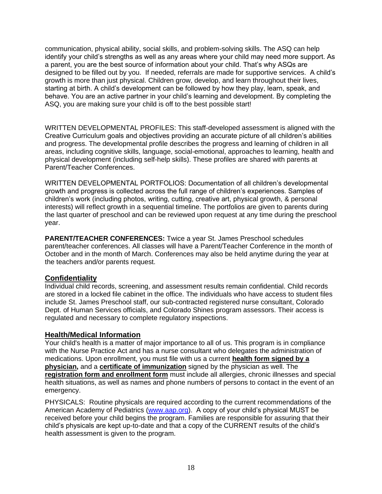communication, physical ability, social skills, and problem-solving skills. The ASQ can help identify your child's strengths as well as any areas where your child may need more support. As a parent, you are the best source of information about your child. That's why ASQs are designed to be filled out by you. If needed, referrals are made for supportive services. A child's growth is more than just physical. Children grow, develop, and learn throughout their lives, starting at birth. A child's development can be followed by how they play, learn, speak, and behave. You are an active partner in your child's learning and development. By completing the ASQ, you are making sure your child is off to the best possible start!

WRITTEN DEVELOPMENTAL PROFILES: This staff-developed assessment is aligned with the Creative Curriculum goals and objectives providing an accurate picture of all children's abilities and progress. The developmental profile describes the progress and learning of children in all areas, including cognitive skills, language, social-emotional, approaches to learning, health and physical development (including self-help skills). These profiles are shared with parents at Parent/Teacher Conferences.

WRITTEN DEVELOPMENTAL PORTFOLIOS: Documentation of all children's developmental growth and progress is collected across the full range of children's experiences. Samples of children's work (including photos, writing, cutting, creative art, physical growth, & personal interests) will reflect growth in a sequential timeline. The portfolios are given to parents during the last quarter of preschool and can be reviewed upon request at any time during the preschool year.

**PARENT/TEACHER CONFERENCES:** Twice a year St. James Preschool schedules parent/teacher conferences. All classes will have a Parent/Teacher Conference in the month of October and in the month of March. Conferences may also be held anytime during the year at the teachers and/or parents request.

## **Confidentiality**

Individual child records, screening, and assessment results remain confidential. Child records are stored in a locked file cabinet in the office. The individuals who have access to student files include St. James Preschool staff, our sub-contracted registered nurse consultant, Colorado Dept. of Human Services officials, and Colorado Shines program assessors. Their access is regulated and necessary to complete regulatory inspections.

## **Health/Medical Information**

Your child's health is a matter of major importance to all of us. This program is in compliance with the Nurse Practice Act and has a nurse consultant who delegates the administration of medications. Upon enrollment, you must file with us a current **health form signed by a physician,** and a **certificate of immunization** signed by the physician as well. The **registration form and enrollment form** must include all allergies, chronic illnesses and special health situations, as well as names and phone numbers of persons to contact in the event of an emergency.

PHYSICALS: Routine physicals are required according to the current recommendations of the American Academy of Pediatrics [\(www.aap.org\)](http://www.aap.org/). A copy of your child's physical MUST be received before your child begins the program. Families are responsible for assuring that their child's physicals are kept up-to-date and that a copy of the CURRENT results of the child's health assessment is given to the program.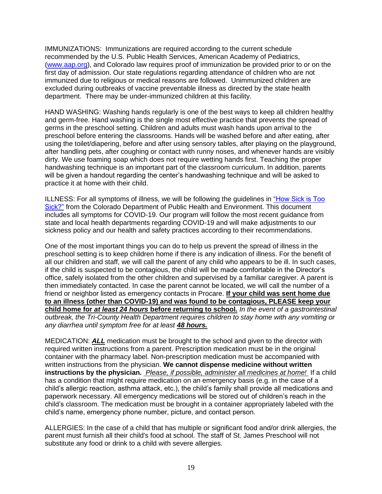IMMUNIZATIONS: Immunizations are required according to the current schedule recommended by the U.S. Public Health Services, American Academy of Pediatrics, [\(www.aap.org\)](http://www.aap.org/), and Colorado law requires proof of immunization be provided prior to or on the first day of admission. Our state regulations regarding attendance of children who are not immunized due to religious or medical reasons are followed. Unimmunized children are excluded during outbreaks of vaccine preventable illness as directed by the state health department. There may be under-immunized children at this facility.

HAND WASHING: Washing hands regularly is one of the best ways to keep all children healthy and germ-free. Hand washing is the single most effective practice that prevents the spread of germs in the preschool setting. Children and adults must wash hands upon arrival to the preschool before entering the classrooms. Hands will be washed before and after eating, after using the toilet/diapering, before and after using sensory tables, after playing on the playground, after handling pets, after coughing or contact with runny noses, and whenever hands are visibly dirty. We use foaming soap which does not require wetting hands first. Teaching the proper handwashing technique is an important part of the classroom curriculum. In addition, parents will be given a handout regarding the center's handwashing technique and will be asked to practice it at home with their child.

ILLNESS: For all symptoms of illness, we will be following the guidelines in ["How Sick is Too](https://www.sjpreschool.org/wp-content/uploads/2022/03/ChildCare_How_Sick_Illness_Policy_Final.pdf)  [Sick?"](https://www.sjpreschool.org/wp-content/uploads/2022/03/ChildCare_How_Sick_Illness_Policy_Final.pdf) from the Colorado Department of Public Health and Environment. This document includes all symptoms for COVID-19. Our program will follow the most recent guidance from state and local health departments regarding COVID-19 and will make adjustments to our sickness policy and our health and safety practices according to their recommendations.

One of the most important things you can do to help us prevent the spread of illness in the preschool setting is to keep children home if there is any indication of illness. For the benefit of all our children and staff, we will call the parent of any child who appears to be ill. In such cases, if the child is suspected to be contagious, the child will be made comfortable in the Director's office, safely isolated from the other children and supervised by a familiar caregiver. A parent is then immediately contacted. In case the parent cannot be located, we will call the number of a friend or neighbor listed as emergency contacts in Procare. **If your child was sent home due to an illness (other than COVID-19) and was found to be contagious, PLEASE keep your child home for** *at least 24 hours* **before returning to school.** *In the event of a gastrointestinal outbreak, the Tri-County Health Department requires children to stay home with any vomiting or any diarrhea until symptom free for at least 48 hours.*

MEDICATION: *ALL* medication must be brought to the school and given to the director with required written instructions from a parent. Prescription medication must be in the original container with the pharmacy label. Non-prescription medication must be accompanied with written instructions from the physician. **We cannot dispense medicine without written instructions by the physician.** *Please, if possible, administer all medicines at home!* If a child has a condition that might require medication on an emergency basis (e.g. in the case of a child's allergic reaction, asthma attack, etc.), the child's family shall provide all medications and paperwork necessary. All emergency medications will be stored out of children's reach in the child's classroom. The medication must be brought in a container appropriately labeled with the child's name, emergency phone number, picture, and contact person.

ALLERGIES: In the case of a child that has multiple or significant food and/or drink allergies, the parent must furnish all their child's food at school. The staff of St. James Preschool will not substitute any food or drink to a child with severe allergies.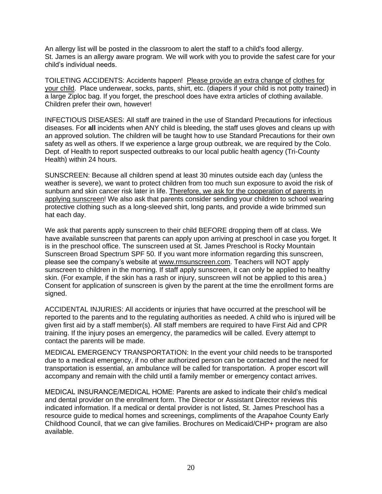An allergy list will be posted in the classroom to alert the staff to a child's food allergy. St. James is an allergy aware program. We will work with you to provide the safest care for your child's individual needs.

TOILETING ACCIDENTS: Accidents happen! Please provide an extra change of clothes for your child. Place underwear, socks, pants, shirt, etc. (diapers if your child is not potty trained) in a large Ziploc bag. If you forget, the preschool does have extra articles of clothing available. Children prefer their own, however!

INFECTIOUS DISEASES: All staff are trained in the use of Standard Precautions for infectious diseases. For **all** incidents when ANY child is bleeding, the staff uses gloves and cleans up with an approved solution. The children will be taught how to use Standard Precautions for their own safety as well as others. If we experience a large group outbreak, we are required by the Colo. Dept. of Health to report suspected outbreaks to our local public health agency (Tri-County Health) within 24 hours.

SUNSCREEN: Because all children spend at least 30 minutes outside each day (unless the weather is severe), we want to protect children from too much sun exposure to avoid the risk of sunburn and skin cancer risk later in life. Therefore, we ask for the cooperation of parents in applying sunscreen! We also ask that parents consider sending your children to school wearing protective clothing such as a long-sleeved shirt, long pants, and provide a wide brimmed sun hat each day.

We ask that parents apply sunscreen to their child BEFORE dropping them off at class. We have available sunscreen that parents can apply upon arriving at preschool in case you forget. It is in the preschool office. The sunscreen used at St. James Preschool is Rocky Mountain Sunscreen Broad Spectrum SPF 50. If you want more information regarding this sunscreen, please see the company's website at [www.rmsunscreen.com.](http://www.rmsunscreen.com/) Teachers will NOT apply sunscreen to children in the morning. If staff apply sunscreen, it can only be applied to healthy skin. (For example, if the skin has a rash or injury, sunscreen will not be applied to this area.) Consent for application of sunscreen is given by the parent at the time the enrollment forms are signed.

ACCIDENTAL INJURIES: All accidents or injuries that have occurred at the preschool will be reported to the parents and to the regulating authorities as needed. A child who is injured will be given first aid by a staff member(s). All staff members are required to have First Aid and CPR training. If the injury poses an emergency, the paramedics will be called. Every attempt to contact the parents will be made.

MEDICAL EMERGENCY TRANSPORTATION: In the event your child needs to be transported due to a medical emergency, if no other authorized person can be contacted and the need for transportation is essential, an ambulance will be called for transportation. A proper escort will accompany and remain with the child until a family member or emergency contact arrives.

MEDICAL INSURANCE/MEDICAL HOME: Parents are asked to indicate their child's medical and dental provider on the enrollment form. The Director or Assistant Director reviews this indicated information. If a medical or dental provider is not listed, St. James Preschool has a resource guide to medical homes and screenings, compliments of the Arapahoe County Early Childhood Council, that we can give families. Brochures on Medicaid/CHP+ program are also available.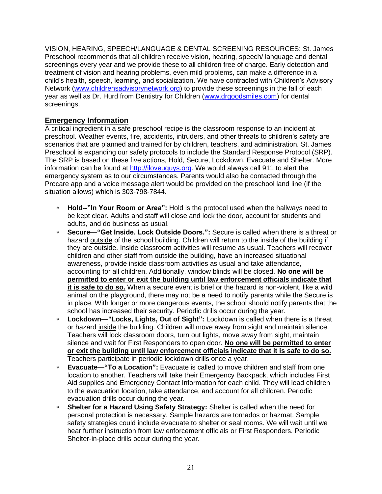VISION, HEARING, SPEECH/LANGUAGE & DENTAL SCREENING RESOURCES: St. James Preschool recommends that all children receive vision, hearing, speech/ language and dental screenings every year and we provide these to all children free of charge. Early detection and treatment of vision and hearing problems, even mild problems, can make a difference in a child's health, speech, learning, and socialization. We have contracted with Children's Advisory Network [\(www.childrensadvisorynetwork.org\)](http://www.childrensadvisorynetwork.org/) to provide these screenings in the fall of each year as well as Dr. Hurd from Dentistry for Children [\(www.drgoodsmiles.com\)](http://www.drgoodsmiles.com/) for dental screenings.

## **Emergency Information**

A critical ingredient in a safe preschool recipe is the classroom response to an incident at preschool. Weather events, fire, accidents, intruders, and other threats to children's safety are scenarios that are planned and trained for by children, teachers, and administration. St. James Preschool is expanding our safety protocols to include the Standard Response Protocol (SRP). The SRP is based on these five actions, Hold, Secure, Lockdown, Evacuate and Shelter. More information can be found at [http://iloveuguys.org.](http://iloveuguys.org/) We would always call 911 to alert the emergency system as to our circumstances. Parents would also be contacted through the Procare app and a voice message alert would be provided on the preschool land line (if the situation allows) which is 303-798-7844.

- **Hold--"In Your Room or Area":** Hold is the protocol used when the hallways need to be kept clear. Adults and staff will close and lock the door, account for students and adults, and do business as usual.
- **Secure—"Get Inside. Lock Outside Doors.":** Secure is called when there is a threat or hazard outside of the school building. Children will return to the inside of the building if they are outside. Inside classroom activities will resume as usual. Teachers will recover children and other staff from outside the building, have an increased situational awareness, provide inside classroom activities as usual and take attendance, accounting for all children. Additionally, window blinds will be closed. **No one will be permitted to enter or exit the building until law enforcement officials indicate that it is safe to do so.** When a secure event is brief or the hazard is non-violent, like a wild animal on the playground, there may not be a need to notify parents while the Secure is in place. With longer or more dangerous events, the school should notify parents that the school has increased their security. Periodic drills occur during the year.
- **Lockdown—"Locks, Lights, Out of Sight":** Lockdown is called when there is a threat or hazard inside the building. Children will move away from sight and maintain silence. Teachers will lock classroom doors, turn out lights, move away from sight, maintain silence and wait for First Responders to open door. **No one will be permitted to enter or exit the building until law enforcement officials indicate that it is safe to do so.** Teachers participate in periodic lockdown drills once a year.
- **Evacuate—"To a Location":** Evacuate is called to move children and staff from one location to another. Teachers will take their Emergency Backpack, which includes First Aid supplies and Emergency Contact Information for each child. They will lead children to the evacuation location, take attendance, and account for all children. Periodic evacuation drills occur during the year.
- **Shelter for a Hazard Using Safety Strategy:** Shelter is called when the need for personal protection is necessary. Sample hazards are tornados or hazmat. Sample safety strategies could include evacuate to shelter or seal rooms. We will wait until we hear further instruction from law enforcement officials or First Responders. Periodic Shelter-in-place drills occur during the year.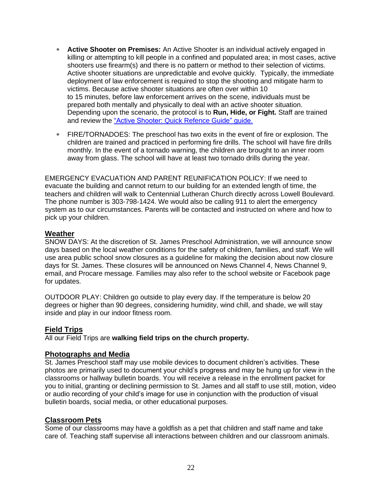- **Active Shooter on Premises:** An Active Shooter is an individual actively engaged in killing or attempting to kill people in a confined and populated area; in most cases, active shooters use firearm(s) and there is no pattern or method to their selection of victims. Active shooter situations are unpredictable and evolve quickly. Typically, the immediate deployment of law enforcement is required to stop the shooting and mitigate harm to victims. Because active shooter situations are often over within 10 to 15 minutes, before law enforcement arrives on the scene, individuals must be prepared both mentally and physically to deal with an active shooter situation. Depending upon the scenario, the protocol is to **Run, Hide, or Fight.** Staff are trained and review the ["Active Shooter: Quick Refence Guide" guide.](https://www.cisa.gov/sites/default/files/publications/active-shooter-pamphlet-2017-508.pdf)
- FIRE/TORNADOES: The preschool has two exits in the event of fire or explosion. The children are trained and practiced in performing fire drills. The school will have fire drills monthly. In the event of a tornado warning, the children are brought to an inner room away from glass. The school will have at least two tornado drills during the year.

EMERGENCY EVACUATION AND PARENT REUNIFICATION POLICY: If we need to evacuate the building and cannot return to our building for an extended length of time, the teachers and children will walk to Centennial Lutheran Church directly across Lowell Boulevard. The phone number is 303-798-1424. We would also be calling 911 to alert the emergency system as to our circumstances. Parents will be contacted and instructed on where and how to pick up your children.

### **Weather**

SNOW DAYS: At the discretion of St. James Preschool Administration, we will announce snow days based on the local weather conditions for the safety of children, families, and staff. We will use area public school snow closures as a guideline for making the decision about now closure days for St. James. These closures will be announced on News Channel 4, News Channel 9, email, and Procare message. Families may also refer to the school website or Facebook page for updates.

OUTDOOR PLAY: Children go outside to play every day. If the temperature is below 20 degrees or higher than 90 degrees, considering humidity, wind chill, and shade, we will stay inside and play in our indoor fitness room.

#### **Field Trips**

All our Field Trips are **walking field trips on the church property.**

#### **Photographs and Media**

St. James Preschool staff may use mobile devices to document children's activities. These photos are primarily used to document your child's progress and may be hung up for view in the classrooms or hallway bulletin boards. You will receive a release in the enrollment packet for you to initial, granting or declining permission to St. James and all staff to use still, motion, video or audio recording of your child's image for use in conjunction with the production of visual bulletin boards, social media, or other educational purposes.

#### **Classroom Pets**

Some of our classrooms may have a goldfish as a pet that children and staff name and take care of. Teaching staff supervise all interactions between children and our classroom animals.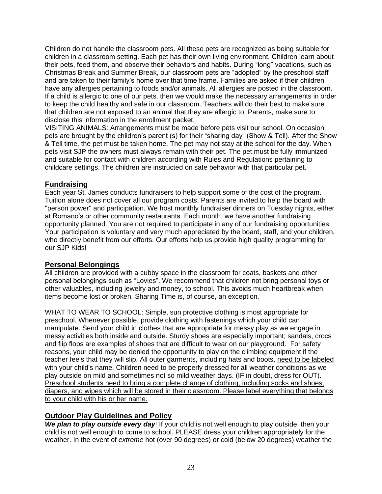Children do not handle the classroom pets. All these pets are recognized as being suitable for children in a classroom setting. Each pet has their own living environment. Children learn about their pets, feed them, and observe their behaviors and habits. During "long" vacations, such as Christmas Break and Summer Break, our classroom pets are "adopted" by the preschool staff and are taken to their family's home over that time frame. Families are asked if their children have any allergies pertaining to foods and/or animals. All allergies are posted in the classroom. If a child is allergic to one of our pets, then we would make the necessary arrangements in order to keep the child healthy and safe in our classroom. Teachers will do their best to make sure that children are not exposed to an animal that they are allergic to. Parents, make sure to disclose this information in the enrollment packet.

VISITING ANIMALS: Arrangements must be made before pets visit our school. On occasion, pets are brought by the children's parent (s) for their "sharing day" (Show & Tell). After the Show & Tell time, the pet must be taken home. The pet may not stay at the school for the day. When pets visit SJP the owners must always remain with their pet. The pet must be fully immunized and suitable for contact with children according with Rules and Regulations pertaining to childcare settings. The children are instructed on safe behavior with that particular pet.

# **Fundraising**

Each year St. James conducts fundraisers to help support some of the cost of the program. Tuition alone does not cover all our program costs. Parents are invited to help the board with "person power" and participation. We host monthly fundraiser dinners on Tuesday nights, either at Romano's or other community restaurants. Each month, we have another fundraising opportunity planned. You are not required to participate in any of our fundraising opportunities. Your participation is voluntary and very much appreciated by the board, staff, and your children, who directly benefit from our efforts. Our efforts help us provide high quality programming for our SJP Kids!

# **Personal Belongings**

All children are provided with a cubby space in the classroom for coats, baskets and other personal belongings such as "Lovies". We recommend that children not bring personal toys or other valuables, including jewelry and money, to school. This avoids much heartbreak when items become lost or broken. Sharing Time is, of course, an exception.

WHAT TO WEAR TO SCHOOL: Simple, sun protective clothing is most appropriate for preschool. Whenever possible, provide clothing with fastenings which your child can manipulate. Send your child in clothes that are appropriate for messy play as we engage in messy activities both inside and outside. Sturdy shoes are especially important; sandals, crocs and flip flops are examples of shoes that are difficult to wear on our playground. For safety reasons, your child may be denied the opportunity to play on the climbing equipment if the teacher feels that they will slip. All outer garments, including hats and boots, need to be labeled with your child's name. Children need to be properly dressed for all weather conditions as we play outside on mild and sometimes not so mild weather days. (IF in doubt, dress for OUT). Preschool students need to bring a complete change of clothing, including socks and shoes, diapers, and wipes which will be stored in their classroom. Please label everything that belongs to your child with his or her name.

# **Outdoor Play Guidelines and Policy**

**We plan to play outside every day**! If your child is not well enough to play outside, then your child is not well enough to come to school. PLEASE dress your children appropriately for the weather. In the event of *extreme* hot (over 90 degrees) or cold (below 20 degrees) weather the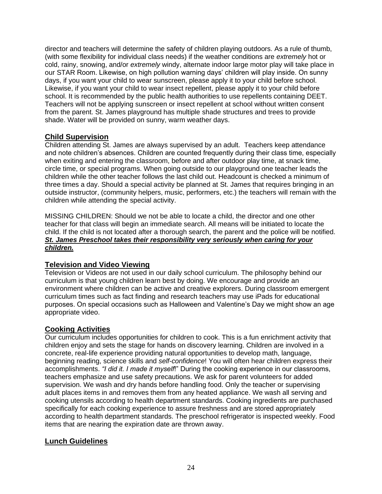director and teachers will determine the safety of children playing outdoors. As a rule of thumb, (with some flexibility for individual class needs) if the weather conditions are *extremely* hot or cold, rainy, snowing, and/or *extremely* windy, alternate indoor large motor play will take place in our STAR Room. Likewise, on high pollution warning days' children will play inside. On sunny days, if you want your child to wear sunscreen, please apply it to your child before school. Likewise, if you want your child to wear insect repellent, please apply it to your child before school. It is recommended by the public health authorities to use repellents containing DEET. Teachers will not be applying sunscreen or insect repellent at school without written consent from the parent. St. James playground has multiple shade structures and trees to provide shade. Water will be provided on sunny, warm weather days.

## **Child Supervision**

Children attending St. James are always supervised by an adult. Teachers keep attendance and note children's absences. Children are counted frequently during their class time, especially when exiting and entering the classroom, before and after outdoor play time, at snack time, circle time, or special programs. When going outside to our playground one teacher leads the children while the other teacher follows the last child out. Headcount is checked a minimum of three times a day. Should a special activity be planned at St. James that requires bringing in an outside instructor, (community helpers, music, performers, etc.) the teachers will remain with the children while attending the special activity.

MISSING CHILDREN: Should we not be able to locate a child, the director and one other teacher for that class will begin an immediate search. All means will be initiated to locate the child. If the child is not located after a thorough search, the parent and the police will be notified. *St. James Preschool takes their responsibility very seriously when caring for your children.* 

## **Television and Video Viewing**

Television or Videos are not used in our daily school curriculum. The philosophy behind our curriculum is that young children learn best by doing. We encourage and provide an environment where children can be active and creative explorers. During classroom emergent curriculum times such as fact finding and research teachers may use iPads for educational purposes. On special occasions such as Halloween and Valentine's Day we might show an age appropriate video.

# **Cooking Activities**

Our curriculum includes opportunities for children to cook. This is a fun enrichment activity that children enjoy and sets the stage for hands on discovery learning. Children are involved in a concrete, real-life experience providing natural opportunities to develop math, language, beginning reading, science skills and *self-confidence*! You will often hear children express their accomplishments. *"I did it. I made it myself*!" During the cooking experience in our classrooms, teachers emphasize and use safety precautions. We ask for parent volunteers for added supervision. We wash and dry hands before handling food. Only the teacher or supervising adult places items in and removes them from any heated appliance. We wash all serving and cooking utensils according to health department standards. Cooking ingredients are purchased specifically for each cooking experience to assure freshness and are stored appropriately according to health department standards. The preschool refrigerator is inspected weekly. Food items that are nearing the expiration date are thrown away.

# **Lunch Guidelines**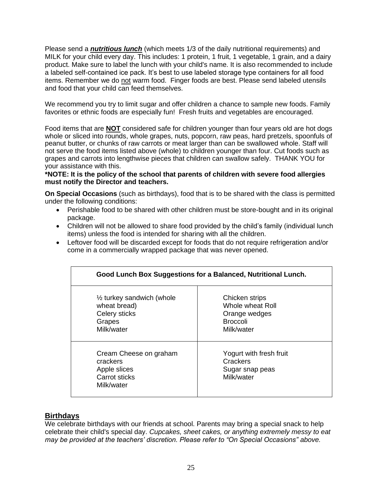Please send a *nutritious lunch* (which meets 1/3 of the daily nutritional requirements) and MILK for your child every day. This includes: 1 protein, 1 fruit, 1 vegetable, 1 grain, and a dairy product. Make sure to label the lunch with your child's name. It is also recommended to include a labeled self-contained ice pack. It's best to use labeled storage type containers for all food items. Remember we do not warm food. Finger foods are best. Please send labeled utensils and food that your child can feed themselves.

We recommend you try to limit sugar and offer children a chance to sample new foods. Family favorites or ethnic foods are especially fun! Fresh fruits and vegetables are encouraged.

Food items that are **NOT** considered safe for children younger than four years old are hot dogs whole or sliced into rounds, whole grapes, nuts, popcorn, raw peas, hard pretzels, spoonfuls of peanut butter, or chunks of raw carrots or meat larger than can be swallowed whole. Staff will not serve the food items listed above (whole) to children younger than four. Cut foods such as grapes and carrots into lengthwise pieces that children can swallow safely. THANK YOU for your assistance with this.

**\*NOTE: It is the policy of the school that parents of children with severe food allergies must notify the Director and teachers.**

**On Special Occasions** (such as birthdays), food that is to be shared with the class is permitted under the following conditions:

- Perishable food to be shared with other children must be store-bought and in its original package.
- Children will not be allowed to share food provided by the child's family (individual lunch items) unless the food is intended for sharing with all the children.
- Leftover food will be discarded except for foods that do not require refrigeration and/or come in a commercially wrapped package that was never opened.

| Good Lunch Box Suggestions for a Balanced, Nutritional Lunch.                                 |                                                                                      |  |
|-----------------------------------------------------------------------------------------------|--------------------------------------------------------------------------------------|--|
| $\frac{1}{2}$ turkey sandwich (whole<br>wheat bread)<br>Celery sticks<br>Grapes<br>Milk/water | Chicken strips<br>Whole wheat Roll<br>Orange wedges<br><b>Broccoli</b><br>Milk/water |  |
| Cream Cheese on graham<br>crackers<br>Apple slices<br>Carrot sticks<br>Milk/water             | Yogurt with fresh fruit<br>Crackers<br>Sugar snap peas<br>Milk/water                 |  |

## **Birthdays**

We celebrate birthdays with our friends at school. Parents may bring a special snack to help celebrate their child's special day. *Cupcakes, sheet cakes, or anything extremely messy to eat may be provided at the teachers' discretion. Please refer to "On Special Occasions" above.*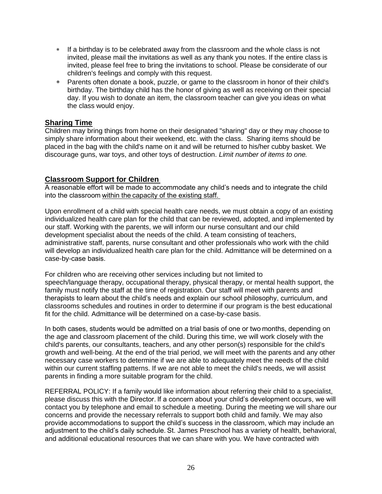- If a birthday is to be celebrated away from the classroom and the whole class is not invited, please mail the invitations as well as any thank you notes. If the entire class is invited, please feel free to bring the invitations to school. Please be considerate of our children's feelings and comply with this request.
- Parents often donate a book, puzzle, or game to the classroom in honor of their child's birthday. The birthday child has the honor of giving as well as receiving on their special day. If you wish to donate an item, the classroom teacher can give you ideas on what the class would enjoy.

## **Sharing Time**

Children may bring things from home on their designated "sharing" day or they may choose to simply share information about their weekend, etc. with the class. Sharing items should be placed in the bag with the child's name on it and will be returned to his/her cubby basket. We discourage guns, war toys, and other toys of destruction. *Limit number of items to one.* 

### **Classroom Support for Children**

A reasonable effort will be made to accommodate any child's needs and to integrate the child into the classroom within the capacity of the existing staff.

Upon enrollment of a child with special health care needs, we must obtain a copy of an existing individualized health care plan for the child that can be reviewed, adopted, and implemented by our staff. Working with the parents, we will inform our nurse consultant and our child development specialist about the needs of the child. A team consisting of teachers, administrative staff, parents, nurse consultant and other professionals who work with the child will develop an individualized health care plan for the child. Admittance will be determined on a case-by-case basis. 

For children who are receiving other services including but not limited to speech/language therapy, occupational therapy, physical therapy, or mental health support, the family must notify the staff at the time of registration. Our staff will meet with parents and therapists to learn about the child's needs and explain our school philosophy, curriculum, and classrooms schedules and routines in order to determine if our program is the best educational fit for the child. Admittance will be determined on a case-by-case basis.

In both cases, students would be admitted on a trial basis of one or two months, depending on the age and classroom placement of the child. During this time, we will work closely with the child's parents, our consultants, teachers, and any other person(s) responsible for the child's growth and well-being. At the end of the trial period, we will meet with the parents and any other necessary case workers to determine if we are able to adequately meet the needs of the child within our current staffing patterns. If we are not able to meet the child's needs, we will assist parents in finding a more suitable program for the child.

REFERRAL POLICY: If a family would like information about referring their child to a specialist, please discuss this with the Director. If a concern about your child's development occurs, we will contact you by telephone and email to schedule a meeting. During the meeting we will share our concerns and provide the necessary referrals to support both child and family. We may also provide accommodations to support the child's success in the classroom, which may include an adjustment to the child's daily schedule. St. James Preschool has a variety of health, behavioral, and additional educational resources that we can share with you. We have contracted with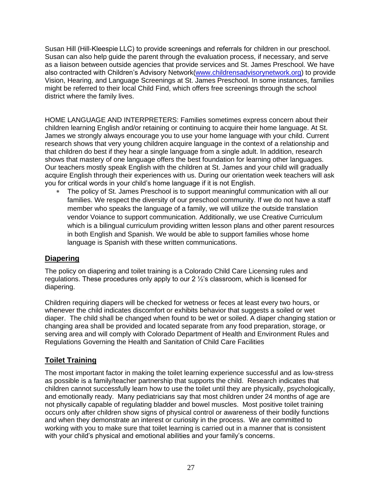Susan Hill (Hill-Kleespie LLC) to provide screenings and referrals for children in our preschool. Susan can also help guide the parent through the evaluation process, if necessary, and serve as a liaison between outside agencies that provide services and St. James Preschool. We have also contracted with Children's Advisory Network[\(www.childrensadvisorynetwork.org\)](http://www.childrensadvisorynetwork.org/) to provide Vision, Hearing, and Language Screenings at St. James Preschool. In some instances, families might be referred to their local Child Find, which offers free screenings through the school district where the family lives.

HOME LANGUAGE AND INTERPRETERS: Families sometimes express concern about their children learning English and/or retaining or continuing to acquire their home language. At St. James we strongly always encourage you to use your home language with your child. Current research shows that very young children acquire language in the context of a relationship and that children do best if they hear a single language from a single adult. In addition, research shows that mastery of one language offers the best foundation for learning other languages. Our teachers mostly speak English with the children at St. James and your child will gradually acquire English through their experiences with us. During our orientation week teachers will ask you for critical words in your child's home language if it is not English.

 The policy of St. James Preschool is to support meaningful communication with all our families. We respect the diversity of our preschool community. If we do not have a staff member who speaks the language of a family, we will utilize the outside translation vendor Voiance to support communication. Additionally, we use Creative Curriculum which is a bilingual curriculum providing written lesson plans and other parent resources in both English and Spanish. We would be able to support families whose home language is Spanish with these written communications.

# **Diapering**

The policy on diapering and toilet training is a Colorado Child Care Licensing rules and regulations. These procedures only apply to our 2 ½'s classroom, which is licensed for diapering.

Children requiring diapers will be checked for wetness or feces at least every two hours, or whenever the child indicates discomfort or exhibits behavior that suggests a soiled or wet diaper. The child shall be changed when found to be wet or soiled. A diaper changing station or changing area shall be provided and located separate from any food preparation, storage, or serving area and will comply with Colorado Department of Health and Environment Rules and Regulations Governing the Health and Sanitation of Child Care Facilities

# **Toilet Training**

The most important factor in making the toilet learning experience successful and as low-stress as possible is a family/teacher partnership that supports the child. Research indicates that children cannot successfully learn how to use the toilet until they are physically, psychologically, and emotionally ready. Many pediatricians say that most children under 24 months of age are not physically capable of regulating bladder and bowel muscles. Most positive toilet training occurs only after children show signs of physical control or awareness of their bodily functions and when they demonstrate an interest or curiosity in the process. We are committed to working with you to make sure that toilet learning is carried out in a manner that is consistent with your child's physical and emotional abilities and your family's concerns.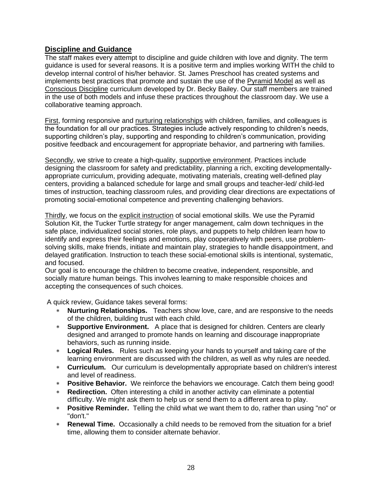## **Discipline and Guidance**

The staff makes every attempt to discipline and guide children with love and dignity. The term guidance is used for several reasons. It is a positive term and implies working WITH the child to develop internal control of his/her behavior. St. James Preschool has created systems and implements best practices that promote and sustain the use of the Pyramid Model as well as Conscious Discipline curriculum developed by Dr. Becky Bailey. Our staff members are trained in the use of both models and infuse these practices throughout the classroom day. We use a collaborative teaming approach.

First, forming responsive and nurturing relationships with children, families, and colleagues is the foundation for all our practices. Strategies include actively responding to children's needs, supporting children's play, supporting and responding to children's communication, providing positive feedback and encouragement for appropriate behavior, and partnering with families.

Secondly, we strive to create a high-quality, supportive environment. Practices include designing the classroom for safety and predictability, planning a rich, exciting developmentallyappropriate curriculum, providing adequate, motivating materials, creating well-defined play centers, providing a balanced schedule for large and small groups and teacher-led/ child-led times of instruction, teaching classroom rules, and providing clear directions are expectations of promoting social-emotional competence and preventing challenging behaviors.

Thirdly, we focus on the explicit instruction of social emotional skills. We use the Pyramid Solution Kit, the Tucker Turtle strategy for anger management, calm down techniques in the safe place, individualized social stories, role plays, and puppets to help children learn how to identify and express their feelings and emotions, play cooperatively with peers, use problemsolving skills, make friends, initiate and maintain play, strategies to handle disappointment, and delayed gratification. Instruction to teach these social-emotional skills is intentional, systematic, and focused.

Our goal is to encourage the children to become creative, independent, responsible, and socially mature human beings. This involves learning to make responsible choices and accepting the consequences of such choices.

A quick review, Guidance takes several forms:

- **Nurturing Relationships.** Teachers show love, care, and are responsive to the needs of the children, building trust with each child.
- **Supportive Environment.** A place that is designed for children. Centers are clearly designed and arranged to promote hands on learning and discourage inappropriate behaviors, such as running inside.
- **Logical Rules.** Rules such as keeping your hands to yourself and taking care of the learning environment are discussed with the children, as well as why rules are needed.
- **Curriculum.** Our curriculum is developmentally appropriate based on children's interest and level of readiness.
- **Positive Behavior.** We reinforce the behaviors we encourage. Catch them being good!
- **Redirection.** Often interesting a child in another activity can eliminate a potential difficulty. We might ask them to help us or send them to a different area to play.
- **Positive Reminder.** Telling the child what we want them to do, rather than using "no" or "don't."
- **Renewal Time.** Occasionally a child needs to be removed from the situation for a brief time, allowing them to consider alternate behavior.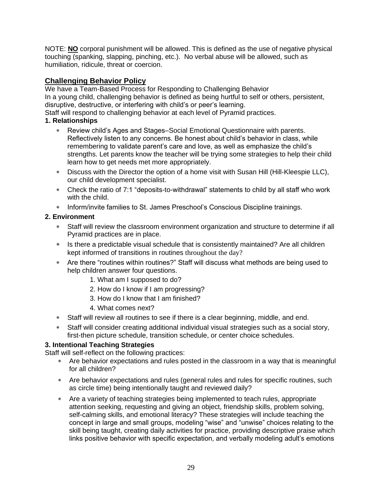NOTE: **NO** corporal punishment will be allowed. This is defined as the use of negative physical touching (spanking, slapping, pinching, etc.). No verbal abuse will be allowed, such as humiliation, ridicule, threat or coercion.

# **Challenging Behavior Policy**

We have a Team-Based Process for Responding to Challenging Behavior In a young child, challenging behavior is defined as being hurtful to self or others, persistent, disruptive, destructive, or interfering with child's or peer's learning.

Staff will respond to challenging behavior at each level of Pyramid practices.

# **1. Relationships**

- Review child's Ages and Stages–Social Emotional Questionnaire with parents. Reflectively listen to any concerns. Be honest about child's behavior in class, while remembering to validate parent's care and love, as well as emphasize the child's strengths. Let parents know the teacher will be trying some strategies to help their child learn how to get needs met more appropriately.
- Discuss with the Director the option of a home visit with Susan Hill (Hill-Kleespie LLC), our child development specialist.
- Check the ratio of 7:1 "deposits-to-withdrawal" statements to child by all staff who work with the child.
- Inform/invite families to St. James Preschool's Conscious Discipline trainings.

# **2. Environment**

- Staff will review the classroom environment organization and structure to determine if all Pyramid practices are in place.
- \* Is there a predictable visual schedule that is consistently maintained? Are all children kept informed of transitions in routines throughout the day?
- Are there "routines within routines?" Staff will discuss what methods are being used to help children answer four questions.
	- 1. What am I supposed to do?
	- 2. How do I know if I am progressing?
	- 3. How do I know that I am finished?
	- 4. What comes next?
- Staff will review all routines to see if there is a clear beginning, middle, and end.
- Staff will consider creating additional individual visual strategies such as a social story, first-then picture schedule, transition schedule, or center choice schedules.

# **3. Intentional Teaching Strategies**

Staff will self-reflect on the following practices:

- Are behavior expectations and rules posted in the classroom in a way that is meaningful for all children?
- Are behavior expectations and rules (general rules and rules for specific routines, such as circle time) being intentionally taught and reviewed daily?
- Are a variety of teaching strategies being implemented to teach rules, appropriate attention seeking, requesting and giving an object, friendship skills, problem solving, self-calming skills, and emotional literacy? These strategies will include teaching the concept in large and small groups, modeling "wise" and "unwise" choices relating to the skill being taught, creating daily activities for practice, providing descriptive praise which links positive behavior with specific expectation, and verbally modeling adult's emotions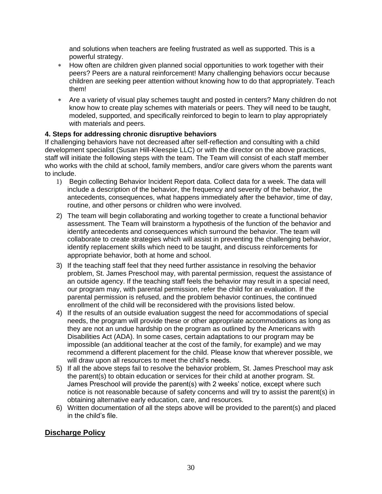and solutions when teachers are feeling frustrated as well as supported. This is a powerful strategy.

- How often are children given planned social opportunities to work together with their peers? Peers are a natural reinforcement! Many challenging behaviors occur because children are seeking peer attention without knowing how to do that appropriately. Teach them!
- Are a variety of visual play schemes taught and posted in centers? Many children do not know how to create play schemes with materials or peers. They will need to be taught, modeled, supported, and specifically reinforced to begin to learn to play appropriately with materials and peers.

### **4. Steps for addressing chronic disruptive behaviors**

If challenging behaviors have not decreased after self-reflection and consulting with a child development specialist (Susan Hill-Kleespie LLC) or with the director on the above practices, staff will initiate the following steps with the team. The Team will consist of each staff member who works with the child at school, family members, and/or care givers whom the parents want to include.

- 1) Begin collecting Behavior Incident Report data. Collect data for a week. The data will include a description of the behavior, the frequency and severity of the behavior, the antecedents, consequences, what happens immediately after the behavior, time of day, routine, and other persons or children who were involved.
- 2) The team will begin collaborating and working together to create a functional behavior assessment. The Team will brainstorm a hypothesis of the function of the behavior and identify antecedents and consequences which surround the behavior. The team will collaborate to create strategies which will assist in preventing the challenging behavior, identify replacement skills which need to be taught, and discuss reinforcements for appropriate behavior, both at home and school.
- 3) If the teaching staff feel that they need further assistance in resolving the behavior problem, St. James Preschool may, with parental permission, request the assistance of an outside agency. If the teaching staff feels the behavior may result in a special need, our program may, with parental permission, refer the child for an evaluation. If the parental permission is refused, and the problem behavior continues, the continued enrollment of the child will be reconsidered with the provisions listed below.
- 4) If the results of an outside evaluation suggest the need for accommodations of special needs, the program will provide these or other appropriate accommodations as long as they are not an undue hardship on the program as outlined by the Americans with Disabilities Act (ADA). In some cases, certain adaptations to our program may be impossible (an additional teacher at the cost of the family, for example) and we may recommend a different placement for the child. Please know that wherever possible, we will draw upon all resources to meet the child's needs.
- 5) If all the above steps fail to resolve the behavior problem, St. James Preschool may ask the parent(s) to obtain education or services for their child at another program. St. James Preschool will provide the parent(s) with 2 weeks' notice, except where such notice is not reasonable because of safety concerns and will try to assist the parent(s) in obtaining alternative early education, care, and resources.
- 6) Written documentation of all the steps above will be provided to the parent(s) and placed in the child's file.

## **Discharge Policy**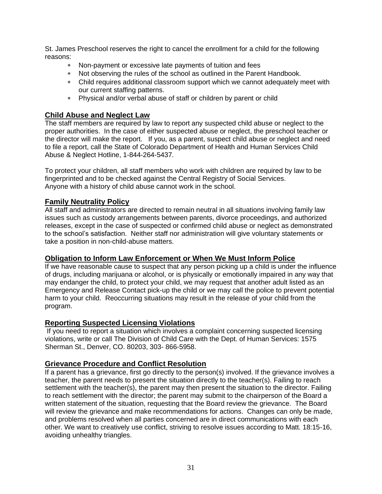St. James Preschool reserves the right to cancel the enrollment for a child for the following reasons:

- Non-payment or excessive late payments of tuition and fees
- Not observing the rules of the school as outlined in the Parent Handbook.
- Child requires additional classroom support which we cannot adequately meet with our current staffing patterns.
- Physical and/or verbal abuse of staff or children by parent or child

### **Child Abuse and Neglect Law**

The staff members are required by law to report any suspected child abuse or neglect to the proper authorities. In the case of either suspected abuse or neglect, the preschool teacher or the director will make the report. If you, as a parent, suspect child abuse or neglect and need to file a report, call the State of Colorado Department of Health and Human Services Child Abuse & Neglect Hotline, 1-844-264-5437.

To protect your children, all staff members who work with children are required by law to be fingerprinted and to be checked against the Central Registry of Social Services. Anyone with a history of child abuse cannot work in the school.

#### **Family Neutrality Policy**

All staff and administrators are directed to remain neutral in all situations involving family law issues such as custody arrangements between parents, divorce proceedings, and authorized releases, except in the case of suspected or confirmed child abuse or neglect as demonstrated to the school's satisfaction. Neither staff nor administration will give voluntary statements or take a position in non-child-abuse matters.

#### **Obligation to Inform Law Enforcement or When We Must Inform Police**

If we have reasonable cause to suspect that any person picking up a child is under the influence of drugs, including marijuana or alcohol, or is physically or emotionally impaired in any way that may endanger the child, to protect your child, we may request that another adult listed as an Emergency and Release Contact pick-up the child or we may call the police to prevent potential harm to your child. Reoccurring situations may result in the release of your child from the program.

#### **Reporting Suspected Licensing Violations**

If you need to report a situation which involves a complaint concerning suspected licensing violations, write or call The Division of Child Care with the Dept. of Human Services: 1575 Sherman St., Denver, CO. 80203, 303- 866-5958.

#### **Grievance Procedure and Conflict Resolution**

If a parent has a grievance, first go directly to the person(s) involved. If the grievance involves a teacher, the parent needs to present the situation directly to the teacher(s). Failing to reach settlement with the teacher(s), the parent may then present the situation to the director. Failing to reach settlement with the director; the parent may submit to the chairperson of the Board a written statement of the situation, requesting that the Board review the grievance. The Board will review the grievance and make recommendations for actions. Changes can only be made, and problems resolved when all parties concerned are in direct communications with each other. We want to creatively use conflict, striving to resolve issues according to Matt. 18:15-16, avoiding unhealthy triangles.